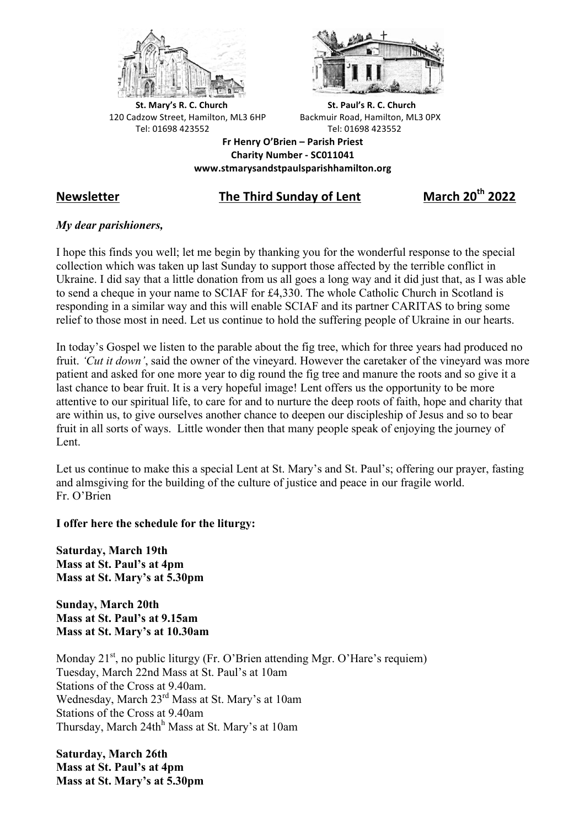



**St.** Mary's R. C. Church St. Paul's R. C. Church 120 Cadzow Street, Hamilton, ML3 6HP Backmuir Road, Hamilton, ML3 0PX Tel: 01698 423552 Tel: 01698 423552

**Fr Henry O'Brien – Parish Priest Charity Number - SC011041 www.stmarysandstpaulsparishhamilton.org**

# **Newsletter The Third Sunday of Lent March 20th 2022**

# *My dear parishioners,*

I hope this finds you well; let me begin by thanking you for the wonderful response to the special collection which was taken up last Sunday to support those affected by the terrible conflict in Ukraine. I did say that a little donation from us all goes a long way and it did just that, as I was able to send a cheque in your name to SCIAF for £4,330. The whole Catholic Church in Scotland is responding in a similar way and this will enable SCIAF and its partner CARITAS to bring some relief to those most in need. Let us continue to hold the suffering people of Ukraine in our hearts.

In today's Gospel we listen to the parable about the fig tree, which for three years had produced no fruit. *'Cut it down'*, said the owner of the vineyard. However the caretaker of the vineyard was more patient and asked for one more year to dig round the fig tree and manure the roots and so give it a last chance to bear fruit. It is a very hopeful image! Lent offers us the opportunity to be more attentive to our spiritual life, to care for and to nurture the deep roots of faith, hope and charity that are within us, to give ourselves another chance to deepen our discipleship of Jesus and so to bear fruit in all sorts of ways. Little wonder then that many people speak of enjoying the journey of Lent.

Let us continue to make this a special Lent at St. Mary's and St. Paul's; offering our prayer, fasting and almsgiving for the building of the culture of justice and peace in our fragile world. Fr. O'Brien

# **I offer here the schedule for the liturgy:**

**Saturday, March 19th Mass at St. Paul's at 4pm Mass at St. Mary's at 5.30pm**

**Sunday, March 20th Mass at St. Paul's at 9.15am Mass at St. Mary's at 10.30am**

Monday  $21^{st}$ , no public liturgy (Fr. O'Brien attending Mgr. O'Hare's requiem) Tuesday, March 22nd Mass at St. Paul's at 10am Stations of the Cross at 9.40am. Wednesday, March 23<sup>rd</sup> Mass at St. Mary's at 10am Stations of the Cross at 9.40am Thursday, March 24th<sup>h</sup> Mass at St. Mary's at 10am

**Saturday, March 26th Mass at St. Paul's at 4pm Mass at St. Mary's at 5.30pm**